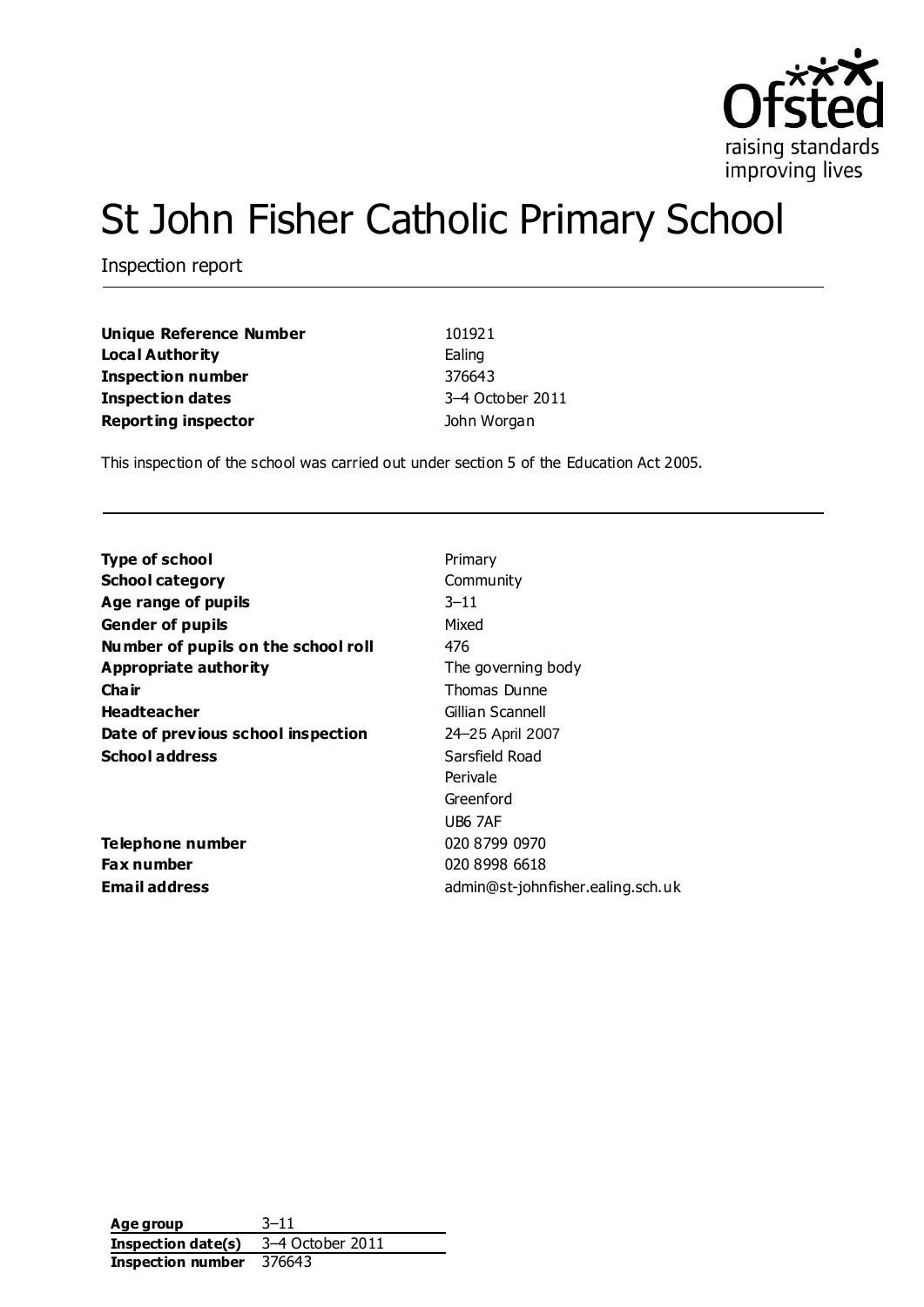

# St John Fisher Catholic Primary School

Inspection report

| <b>Unique Reference Number</b> | 101921           |
|--------------------------------|------------------|
| <b>Local Authority</b>         | Ealing           |
| <b>Inspection number</b>       | 376643           |
| <b>Inspection dates</b>        | 3-4 October 2011 |
| <b>Reporting inspector</b>     | John Worgan      |

This inspection of the school was carried out under section 5 of the Education Act 2005.

| <b>Type of school</b>               | Primary                           |
|-------------------------------------|-----------------------------------|
| <b>School category</b>              | Community                         |
| Age range of pupils                 | $3 - 11$                          |
| <b>Gender of pupils</b>             | Mixed                             |
| Number of pupils on the school roll | 476                               |
| <b>Appropriate authority</b>        | The governing body                |
| Cha ir                              | Thomas Dunne                      |
| <b>Headteacher</b>                  | Gillian Scannell                  |
| Date of previous school inspection  | 24–25 April 2007                  |
| <b>School address</b>               | Sarsfield Road                    |
|                                     | Perivale                          |
|                                     | Greenford                         |
|                                     | UB6 7AF                           |
| <b>Telephone number</b>             | 020 8799 0970                     |
| Fax number                          | 020 8998 6618                     |
| <b>Email address</b>                | admin@st-johnfisher.ealing.sch.uk |
|                                     |                                   |

**Age group** 3–11 **Inspection date(s)** 3–4 October 2011 **Inspection number** 376643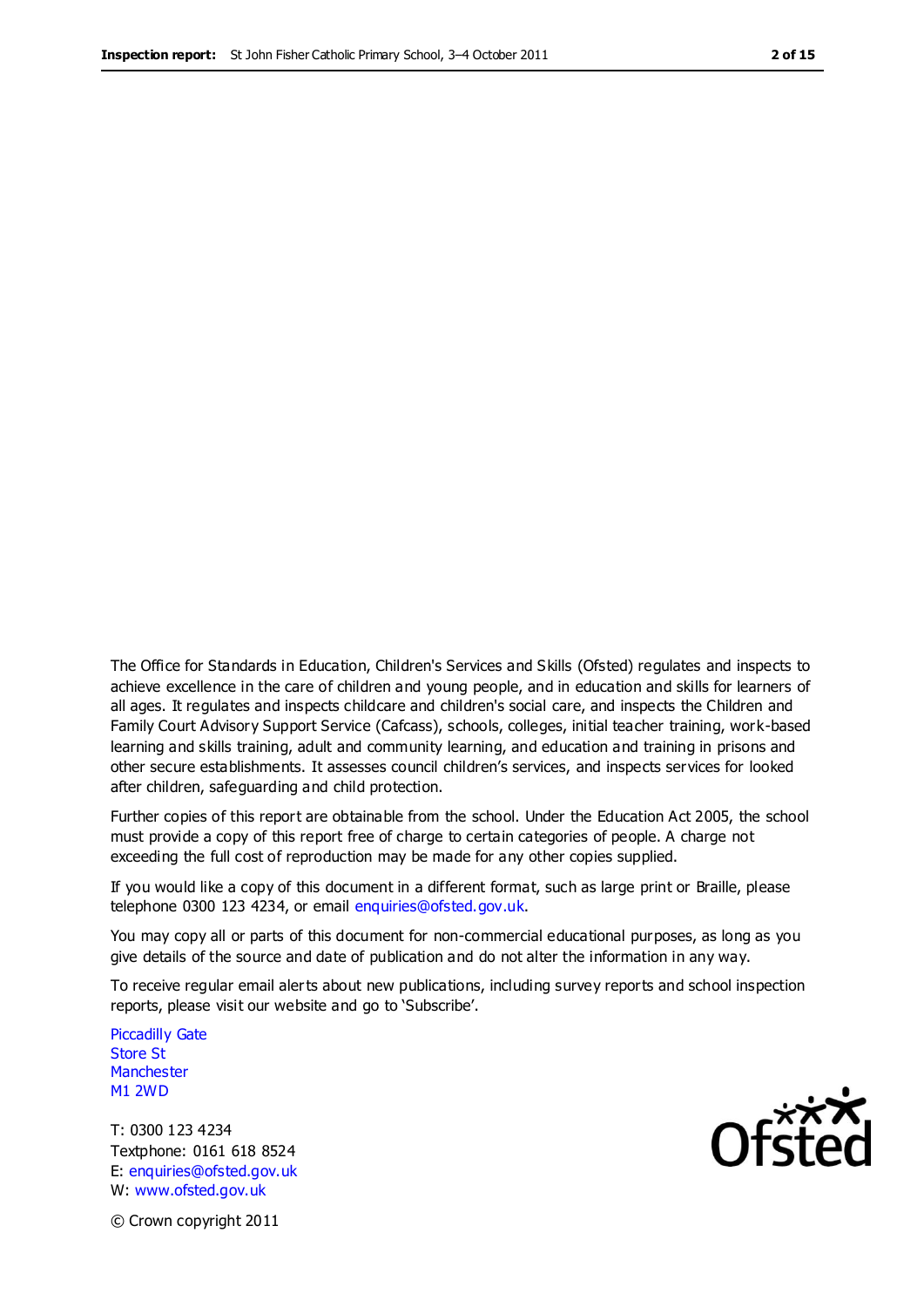The Office for Standards in Education, Children's Services and Skills (Ofsted) regulates and inspects to achieve excellence in the care of children and young people, and in education and skills for learners of all ages. It regulates and inspects childcare and children's social care, and inspects the Children and Family Court Advisory Support Service (Cafcass), schools, colleges, initial teacher training, work-based learning and skills training, adult and community learning, and education and training in prisons and other secure establishments. It assesses council children's services, and inspects services for looked after children, safeguarding and child protection.

Further copies of this report are obtainable from the school. Under the Education Act 2005, the school must provide a copy of this report free of charge to certain categories of people. A charge not exceeding the full cost of reproduction may be made for any other copies supplied.

If you would like a copy of this document in a different format, such as large print or Braille, please telephone 0300 123 4234, or email enquiries@ofsted.gov.uk.

You may copy all or parts of this document for non-commercial educational purposes, as long as you give details of the source and date of publication and do not alter the information in any way.

To receive regular email alerts about new publications, including survey reports and school inspection reports, please visit our website and go to 'Subscribe'.

Piccadilly Gate Store St **Manchester** M1 2WD

T: 0300 123 4234 Textphone: 0161 618 8524 E: enquiries@ofsted.gov.uk W: www.ofsted.gov.uk

**Ofsted** 

© Crown copyright 2011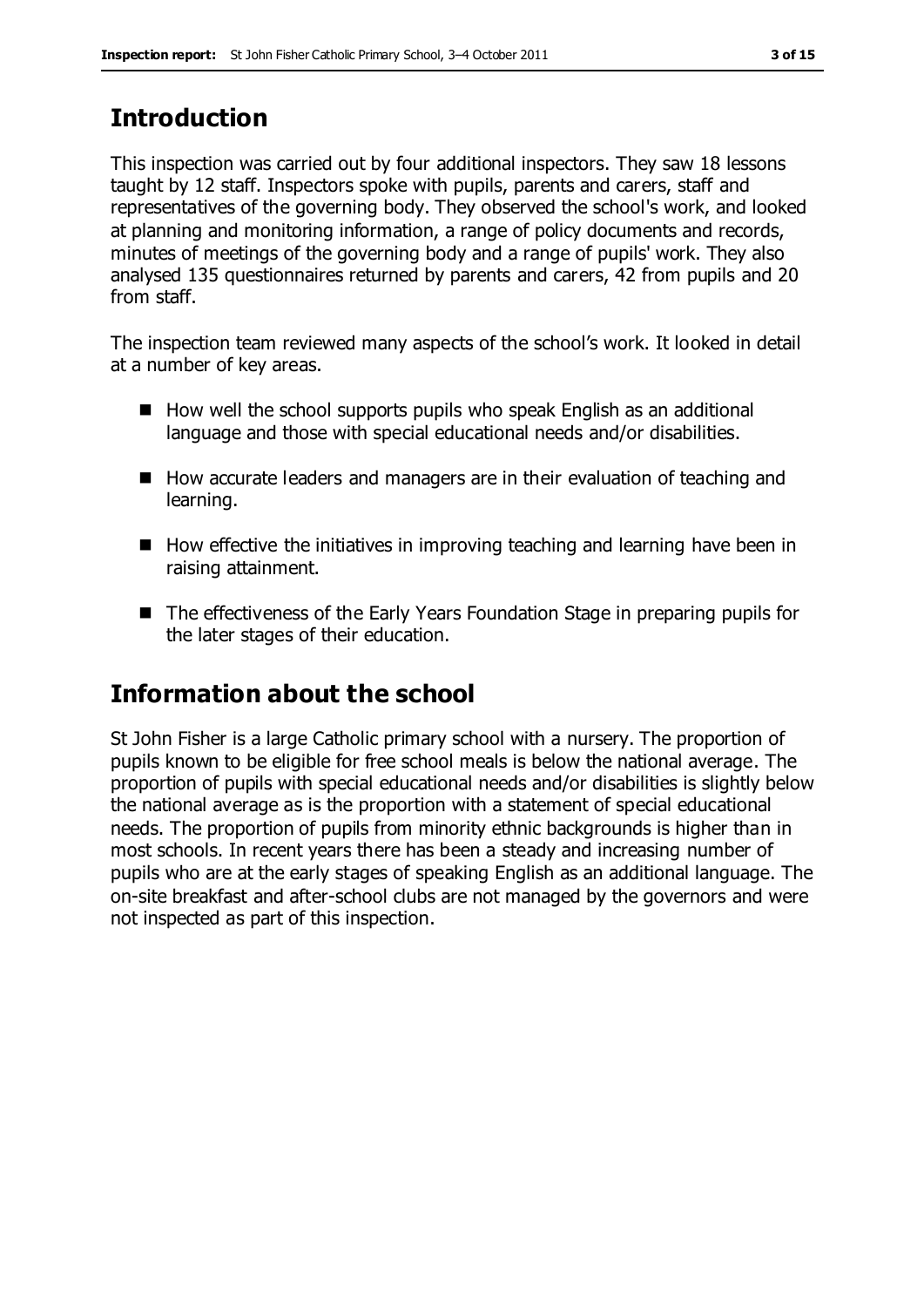## **Introduction**

This inspection was carried out by four additional inspectors. They saw 18 lessons taught by 12 staff. Inspectors spoke with pupils, parents and carers, staff and representatives of the governing body. They observed the school's work, and looked at planning and monitoring information, a range of policy documents and records, minutes of meetings of the governing body and a range of pupils' work. They also analysed 135 questionnaires returned by parents and carers, 42 from pupils and 20 from staff.

The inspection team reviewed many aspects of the school's work. It looked in detail at a number of key areas.

- $\blacksquare$  How well the school supports pupils who speak English as an additional language and those with special educational needs and/or disabilities.
- How accurate leaders and managers are in their evaluation of teaching and learning.
- $\blacksquare$  How effective the initiatives in improving teaching and learning have been in raising attainment.
- The effectiveness of the Early Years Foundation Stage in preparing pupils for the later stages of their education.

## **Information about the school**

St John Fisher is a large Catholic primary school with a nursery. The proportion of pupils known to be eligible for free school meals is below the national average. The proportion of pupils with special educational needs and/or disabilities is slightly below the national average as is the proportion with a statement of special educational needs. The proportion of pupils from minority ethnic backgrounds is higher than in most schools. In recent years there has been a steady and increasing number of pupils who are at the early stages of speaking English as an additional language. The on-site breakfast and after-school clubs are not managed by the governors and were not inspected as part of this inspection.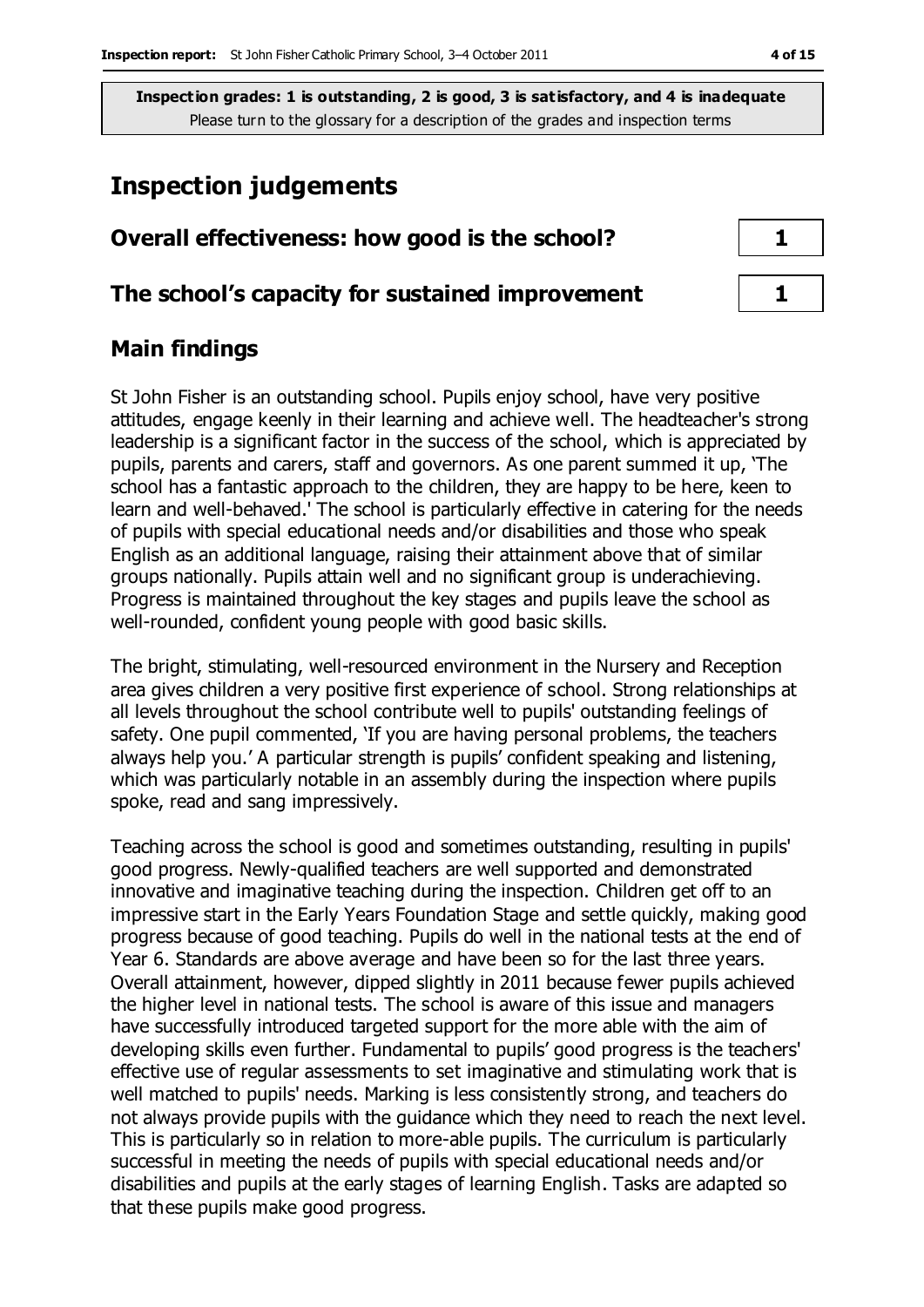## **Inspection judgements**

## **Overall effectiveness: how good is the school? 1**

#### **The school's capacity for sustained improvement 1**

### **Main findings**

St John Fisher is an outstanding school. Pupils enjoy school, have very positive attitudes, engage keenly in their learning and achieve well. The headteacher's strong leadership is a significant factor in the success of the school, which is appreciated by pupils, parents and carers, staff and governors. As one parent summed it up, 'The school has a fantastic approach to the children, they are happy to be here, keen to learn and well-behaved.' The school is particularly effective in catering for the needs of pupils with special educational needs and/or disabilities and those who speak English as an additional language, raising their attainment above that of similar groups nationally. Pupils attain well and no significant group is underachieving. Progress is maintained throughout the key stages and pupils leave the school as well-rounded, confident young people with good basic skills.

The bright, stimulating, well-resourced environment in the Nursery and Reception area gives children a very positive first experience of school. Strong relationships at all levels throughout the school contribute well to pupils' outstanding feelings of safety. One pupil commented, 'If you are having personal problems, the teachers always help you.' A particular strength is pupils' confident speaking and listening, which was particularly notable in an assembly during the inspection where pupils spoke, read and sang impressively.

Teaching across the school is good and sometimes outstanding, resulting in pupils' good progress. Newly-qualified teachers are well supported and demonstrated innovative and imaginative teaching during the inspection. Children get off to an impressive start in the Early Years Foundation Stage and settle quickly, making good progress because of good teaching. Pupils do well in the national tests at the end of Year 6. Standards are above average and have been so for the last three years. Overall attainment, however, dipped slightly in 2011 because fewer pupils achieved the higher level in national tests. The school is aware of this issue and managers have successfully introduced targeted support for the more able with the aim of developing skills even further. Fundamental to pupils' good progress is the teachers' effective use of regular assessments to set imaginative and stimulating work that is well matched to pupils' needs. Marking is less consistently strong, and teachers do not always provide pupils with the guidance which they need to reach the next level. This is particularly so in relation to more-able pupils. The curriculum is particularly successful in meeting the needs of pupils with special educational needs and/or disabilities and pupils at the early stages of learning English. Tasks are adapted so that these pupils make good progress.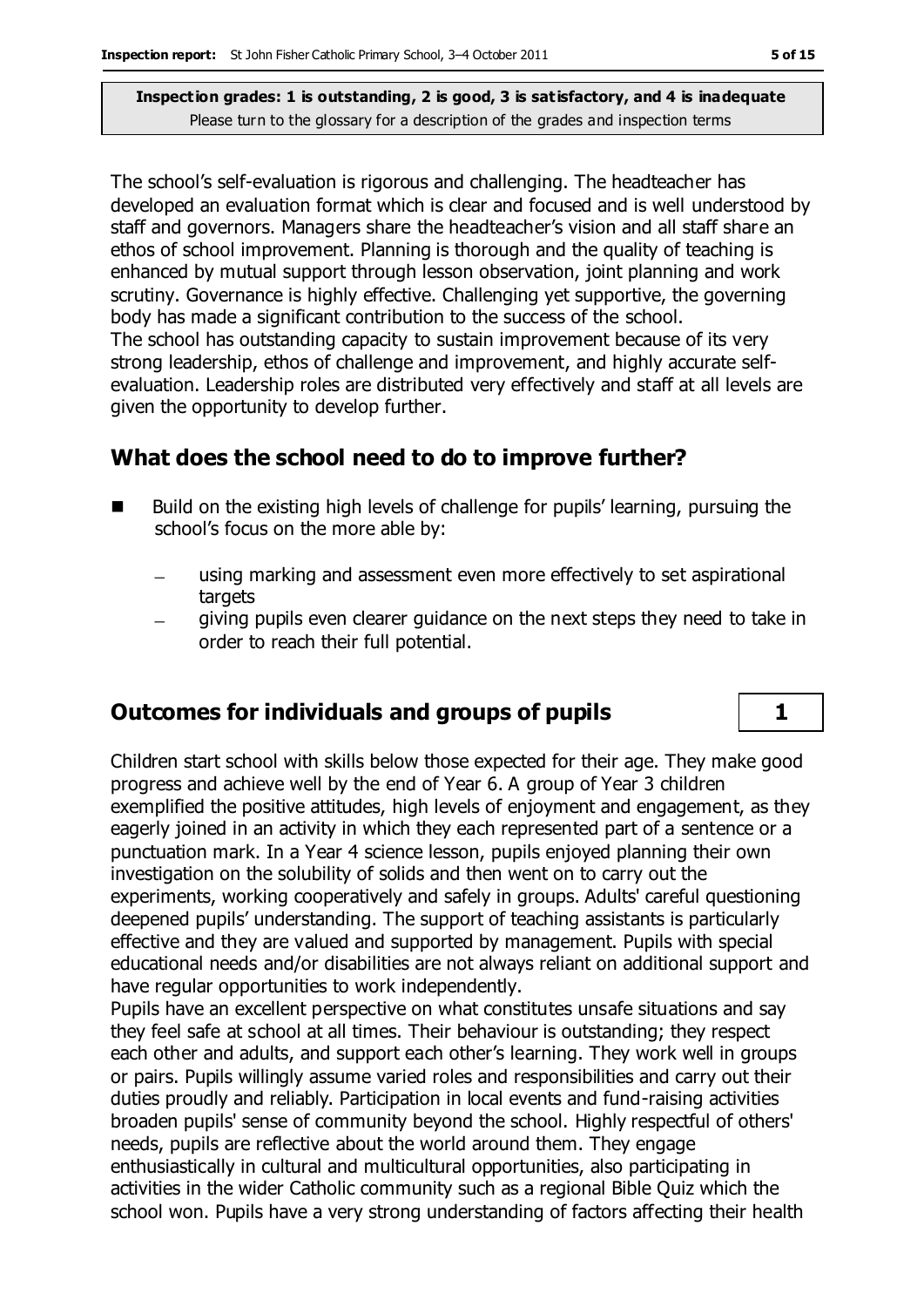The school's self-evaluation is rigorous and challenging. The headteacher has developed an evaluation format which is clear and focused and is well understood by staff and governors. Managers share the headteacher's vision and all staff share an ethos of school improvement. Planning is thorough and the quality of teaching is enhanced by mutual support through lesson observation, joint planning and work scrutiny. Governance is highly effective. Challenging yet supportive, the governing body has made a significant contribution to the success of the school. The school has outstanding capacity to sustain improvement because of its very strong leadership, ethos of challenge and improvement, and highly accurate selfevaluation. Leadership roles are distributed very effectively and staff at all levels are given the opportunity to develop further.

## **What does the school need to do to improve further?**

- Build on the existing high levels of challenge for pupils' learning, pursuing the school's focus on the more able by:
	- using marking and assessment even more effectively to set aspirational targets
	- giving pupils even clearer guidance on the next steps they need to take in order to reach their full potential.

### **Outcomes for individuals and groups of pupils 1**

Children start school with skills below those expected for their age. They make good progress and achieve well by the end of Year 6. A group of Year 3 children exemplified the positive attitudes, high levels of enjoyment and engagement, as they eagerly joined in an activity in which they each represented part of a sentence or a punctuation mark. In a Year 4 science lesson, pupils enjoyed planning their own investigation on the solubility of solids and then went on to carry out the experiments, working cooperatively and safely in groups. Adults' careful questioning deepened pupils' understanding. The support of teaching assistants is particularly effective and they are valued and supported by management. Pupils with special educational needs and/or disabilities are not always reliant on additional support and have regular opportunities to work independently.

Pupils have an excellent perspective on what constitutes unsafe situations and say they feel safe at school at all times. Their behaviour is outstanding; they respect each other and adults, and support each other's learning. They work well in groups or pairs. Pupils willingly assume varied roles and responsibilities and carry out their duties proudly and reliably. Participation in local events and fund-raising activities broaden pupils' sense of community beyond the school. Highly respectful of others' needs, pupils are reflective about the world around them. They engage enthusiastically in cultural and multicultural opportunities, also participating in activities in the wider Catholic community such as a regional Bible Quiz which the school won. Pupils have a very strong understanding of factors affecting their health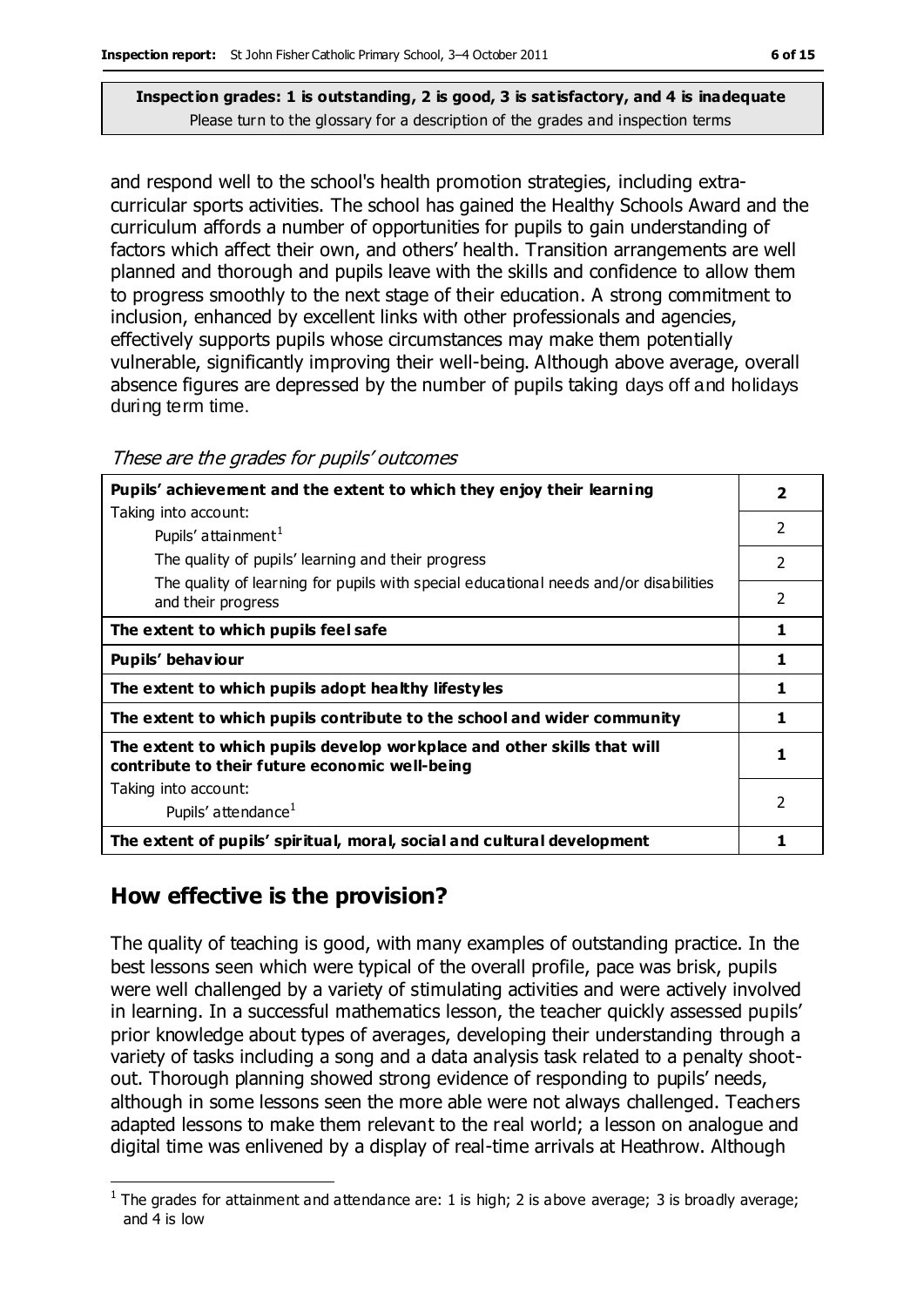and respond well to the school's health promotion strategies, including extracurricular sports activities. The school has gained the Healthy Schools Award and the curriculum affords a number of opportunities for pupils to gain understanding of factors which affect their own, and others' health. Transition arrangements are well planned and thorough and pupils leave with the skills and confidence to allow them to progress smoothly to the next stage of their education. A strong commitment to inclusion, enhanced by excellent links with other professionals and agencies, effectively supports pupils whose circumstances may make them potentially vulnerable, significantly improving their well-being. Although above average, overall absence figures are depressed by the number of pupils taking days off and holidays during term time.

| Pupils' achievement and the extent to which they enjoy their learning                                                     | 2              |
|---------------------------------------------------------------------------------------------------------------------------|----------------|
| Taking into account:                                                                                                      |                |
| Pupils' attainment <sup>1</sup>                                                                                           | $\overline{2}$ |
| The quality of pupils' learning and their progress                                                                        | $\mathfrak{p}$ |
| The quality of learning for pupils with special educational needs and/or disabilities<br>and their progress               | 2              |
| The extent to which pupils feel safe                                                                                      | 1              |
| Pupils' behaviour                                                                                                         | 1              |
| The extent to which pupils adopt healthy lifestyles                                                                       | 1              |
| The extent to which pupils contribute to the school and wider community                                                   | 1              |
| The extent to which pupils develop workplace and other skills that will<br>contribute to their future economic well-being | 1              |
| Taking into account:                                                                                                      |                |
| Pupils' attendance <sup>1</sup>                                                                                           | $\mathfrak{p}$ |
| The extent of pupils' spiritual, moral, social and cultural development                                                   |                |

These are the grades for pupils' outcomes

## **How effective is the provision?**

The quality of teaching is good, with many examples of outstanding practice. In the best lessons seen which were typical of the overall profile, pace was brisk, pupils were well challenged by a variety of stimulating activities and were actively involved in learning. In a successful mathematics lesson, the teacher quickly assessed pupils' prior knowledge about types of averages, developing their understanding through a variety of tasks including a song and a data analysis task related to a penalty shootout. Thorough planning showed strong evidence of responding to pupils' needs, although in some lessons seen the more able were not always challenged. Teachers adapted lessons to make them relevant to the real world; a lesson on analogue and digital time was enlivened by a display of real-time arrivals at Heathrow. Although

 $\overline{a}$ <sup>1</sup> The grades for attainment and attendance are: 1 is high; 2 is above average; 3 is broadly average; and 4 is low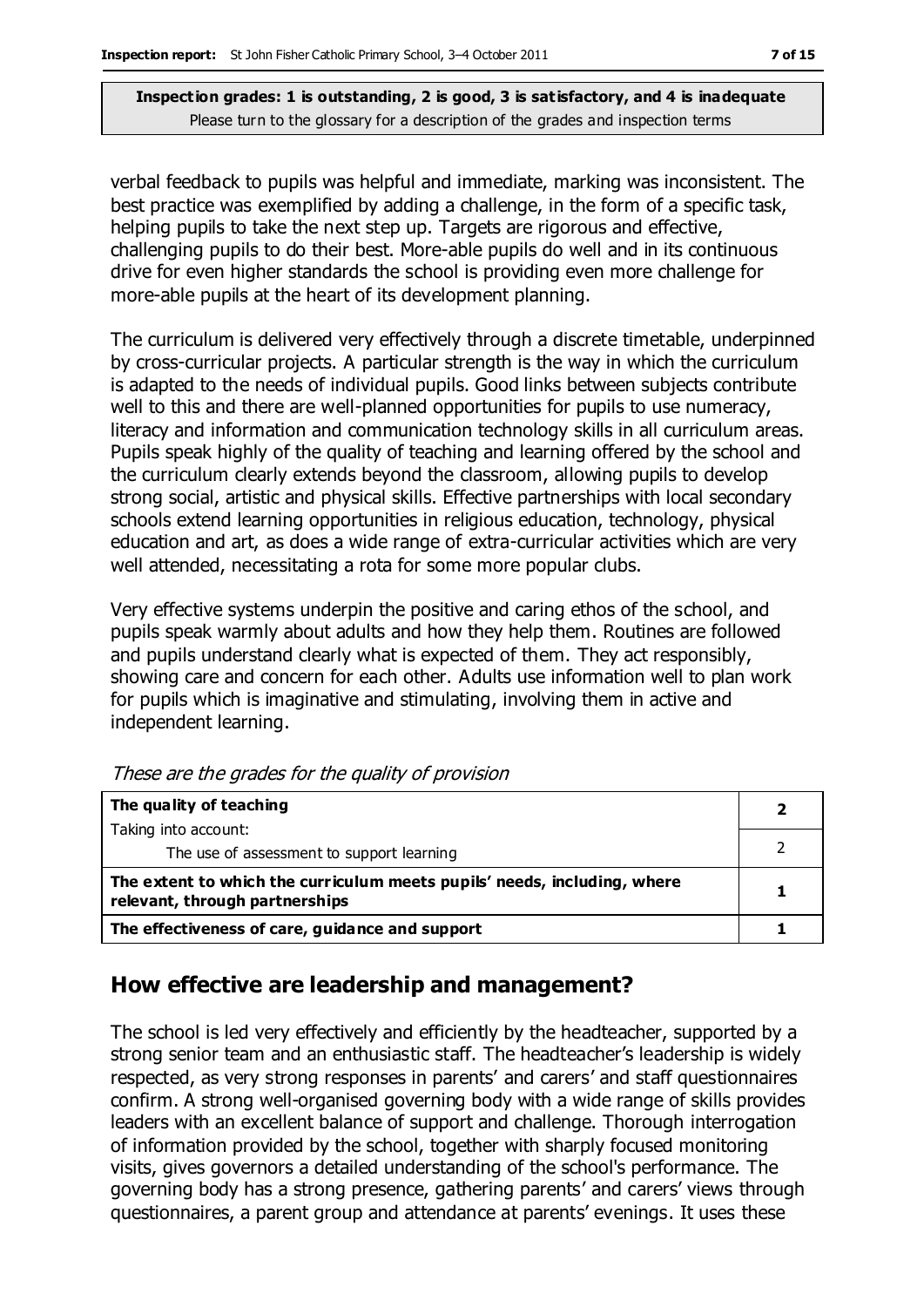verbal feedback to pupils was helpful and immediate, marking was inconsistent. The best practice was exemplified by adding a challenge, in the form of a specific task, helping pupils to take the next step up. Targets are rigorous and effective, challenging pupils to do their best. More-able pupils do well and in its continuous drive for even higher standards the school is providing even more challenge for more-able pupils at the heart of its development planning.

The curriculum is delivered very effectively through a discrete timetable, underpinned by cross-curricular projects. A particular strength is the way in which the curriculum is adapted to the needs of individual pupils. Good links between subjects contribute well to this and there are well-planned opportunities for pupils to use numeracy, literacy and information and communication technology skills in all curriculum areas. Pupils speak highly of the quality of teaching and learning offered by the school and the curriculum clearly extends beyond the classroom, allowing pupils to develop strong social, artistic and physical skills. Effective partnerships with local secondary schools extend learning opportunities in religious education, technology, physical education and art, as does a wide range of extra-curricular activities which are very well attended, necessitating a rota for some more popular clubs.

Very effective systems underpin the positive and caring ethos of the school, and pupils speak warmly about adults and how they help them. Routines are followed and pupils understand clearly what is expected of them. They act responsibly, showing care and concern for each other. Adults use information well to plan work for pupils which is imaginative and stimulating, involving them in active and independent learning.

| The quality of teaching                                                                                    |  |
|------------------------------------------------------------------------------------------------------------|--|
| Taking into account:                                                                                       |  |
| The use of assessment to support learning                                                                  |  |
| The extent to which the curriculum meets pupils' needs, including, where<br>relevant, through partnerships |  |
| The effectiveness of care, guidance and support                                                            |  |

These are the grades for the quality of provision

## **How effective are leadership and management?**

The school is led very effectively and efficiently by the headteacher, supported by a strong senior team and an enthusiastic staff. The headteacher's leadership is widely respected, as very strong responses in parents' and carers' and staff questionnaires confirm. A strong well-organised governing body with a wide range of skills provides leaders with an excellent balance of support and challenge. Thorough interrogation of information provided by the school, together with sharply focused monitoring visits, gives governors a detailed understanding of the school's performance. The governing body has a strong presence, gathering parents' and carers' views through questionnaires, a parent group and attendance at parents' evenings. It uses these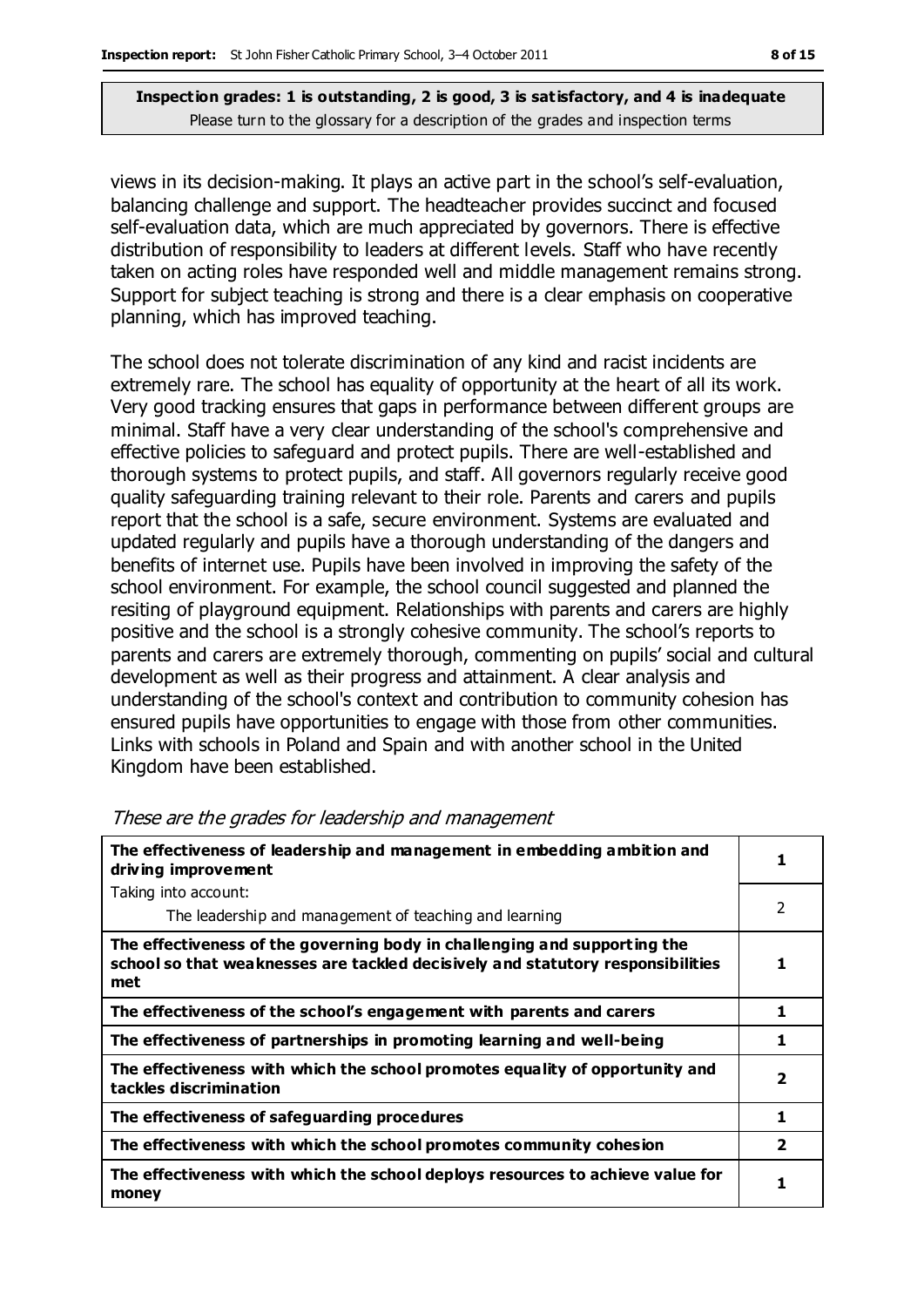views in its decision-making. It plays an active part in the school's self-evaluation, balancing challenge and support. The headteacher provides succinct and focused self-evaluation data, which are much appreciated by governors. There is effective distribution of responsibility to leaders at different levels. Staff who have recently taken on acting roles have responded well and middle management remains strong. Support for subject teaching is strong and there is a clear emphasis on cooperative planning, which has improved teaching.

The school does not tolerate discrimination of any kind and racist incidents are extremely rare. The school has equality of opportunity at the heart of all its work. Very good tracking ensures that gaps in performance between different groups are minimal. Staff have a very clear understanding of the school's comprehensive and effective policies to safeguard and protect pupils. There are well-established and thorough systems to protect pupils, and staff. All governors regularly receive good quality safeguarding training relevant to their role. Parents and carers and pupils report that the school is a safe, secure environment. Systems are evaluated and updated regularly and pupils have a thorough understanding of the dangers and benefits of internet use. Pupils have been involved in improving the safety of the school environment. For example, the school council suggested and planned the resiting of playground equipment. Relationships with parents and carers are highly positive and the school is a strongly cohesive community. The school's reports to parents and carers are extremely thorough, commenting on pupils' social and cultural development as well as their progress and attainment. A clear analysis and understanding of the school's context and contribution to community cohesion has ensured pupils have opportunities to engage with those from other communities. Links with schools in Poland and Spain and with another school in the United Kingdom have been established.

| The effectiveness of leadership and management in embedding ambition and<br>driving improvement                                                                     |                         |
|---------------------------------------------------------------------------------------------------------------------------------------------------------------------|-------------------------|
| Taking into account:                                                                                                                                                |                         |
| The leadership and management of teaching and learning                                                                                                              | 2                       |
| The effectiveness of the governing body in challenging and supporting the<br>school so that weaknesses are tackled decisively and statutory responsibilities<br>met |                         |
| The effectiveness of the school's engagement with parents and carers                                                                                                | 1                       |
| The effectiveness of partnerships in promoting learning and well-being                                                                                              | 1                       |
| The effectiveness with which the school promotes equality of opportunity and<br>tackles discrimination                                                              | $\overline{\mathbf{2}}$ |
| The effectiveness of safeguarding procedures                                                                                                                        | 1                       |
| The effectiveness with which the school promotes community cohesion                                                                                                 | $\overline{\mathbf{2}}$ |
| The effectiveness with which the school deploys resources to achieve value for<br>money                                                                             |                         |

#### These are the grades for leadership and management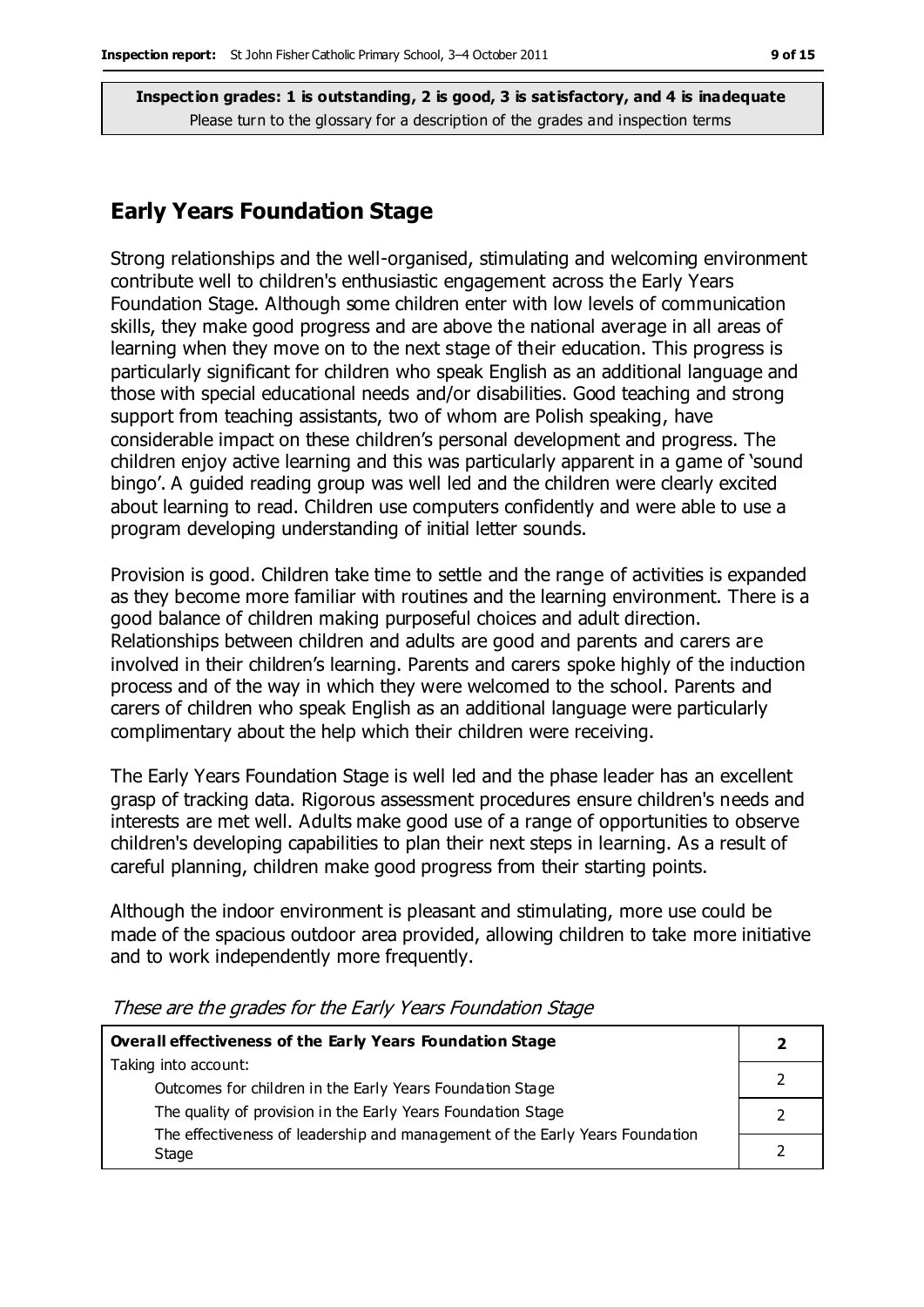#### **Early Years Foundation Stage**

Strong relationships and the well-organised, stimulating and welcoming environment contribute well to children's enthusiastic engagement across the Early Years Foundation Stage. Although some children enter with low levels of communication skills, they make good progress and are above the national average in all areas of learning when they move on to the next stage of their education. This progress is particularly significant for children who speak English as an additional language and those with special educational needs and/or disabilities. Good teaching and strong support from teaching assistants, two of whom are Polish speaking, have considerable impact on these children's personal development and progress. The children enjoy active learning and this was particularly apparent in a game of 'sound bingo'. A guided reading group was well led and the children were clearly excited about learning to read. Children use computers confidently and were able to use a program developing understanding of initial letter sounds.

Provision is good. Children take time to settle and the range of activities is expanded as they become more familiar with routines and the learning environment. There is a good balance of children making purposeful choices and adult direction. Relationships between children and adults are good and parents and carers are involved in their children's learning. Parents and carers spoke highly of the induction process and of the way in which they were welcomed to the school. Parents and carers of children who speak English as an additional language were particularly complimentary about the help which their children were receiving.

The Early Years Foundation Stage is well led and the phase leader has an excellent grasp of tracking data. Rigorous assessment procedures ensure children's needs and interests are met well. Adults make good use of a range of opportunities to observe children's developing capabilities to plan their next steps in learning. As a result of careful planning, children make good progress from their starting points.

Although the indoor environment is pleasant and stimulating, more use could be made of the spacious outdoor area provided, allowing children to take more initiative and to work independently more frequently.

| Overall effectiveness of the Early Years Foundation Stage                    |  |
|------------------------------------------------------------------------------|--|
| Taking into account:                                                         |  |
| Outcomes for children in the Early Years Foundation Stage                    |  |
| The quality of provision in the Early Years Foundation Stage                 |  |
| The effectiveness of leadership and management of the Early Years Foundation |  |
| Stage                                                                        |  |

These are the grades for the Early Years Foundation Stage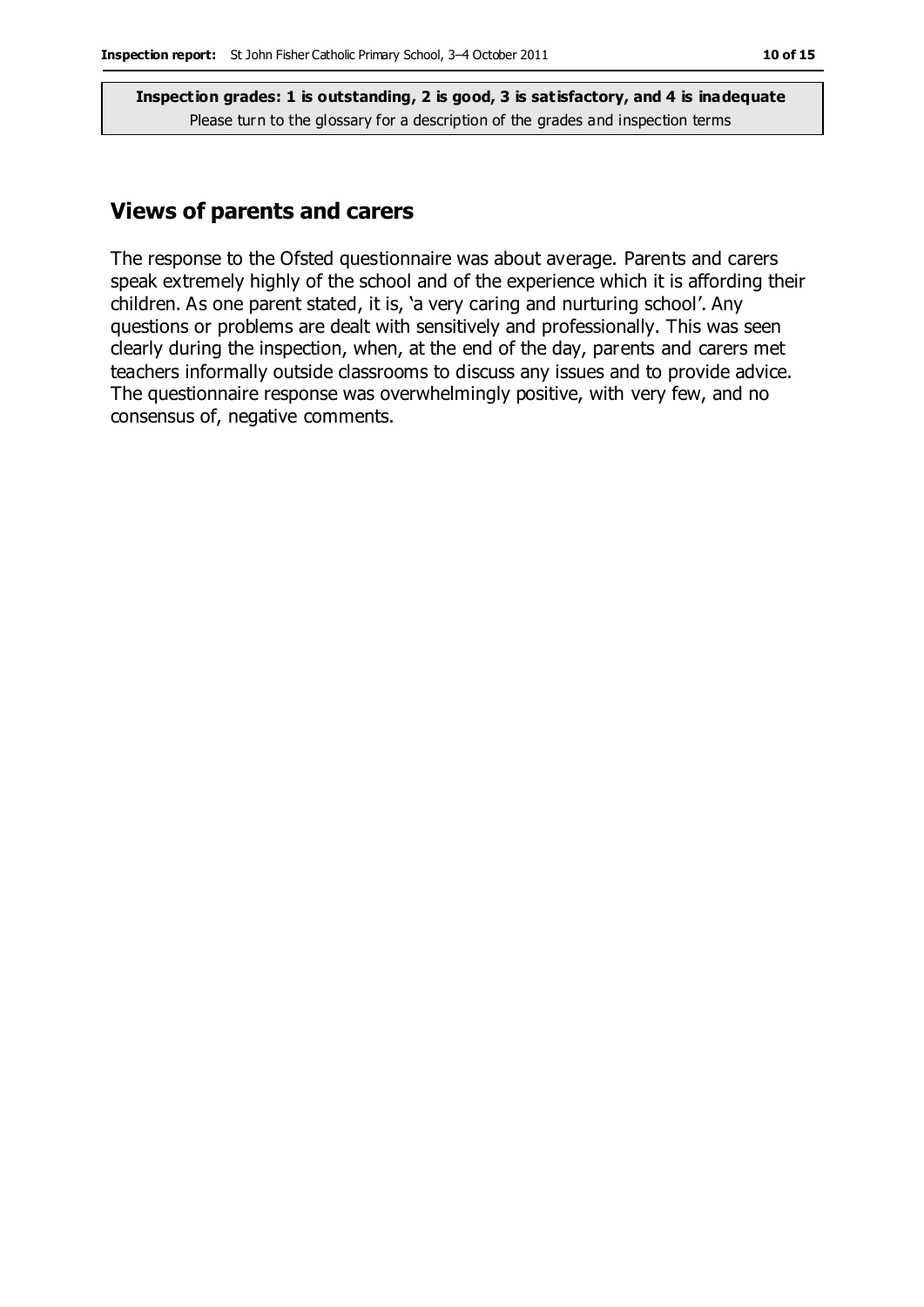### **Views of parents and carers**

The response to the Ofsted questionnaire was about average. Parents and carers speak extremely highly of the school and of the experience which it is affording their children. As one parent stated, it is, 'a very caring and nurturing school'. Any questions or problems are dealt with sensitively and professionally. This was seen clearly during the inspection, when, at the end of the day, parents and carers met teachers informally outside classrooms to discuss any issues and to provide advice. The questionnaire response was overwhelmingly positive, with very few, and no consensus of, negative comments.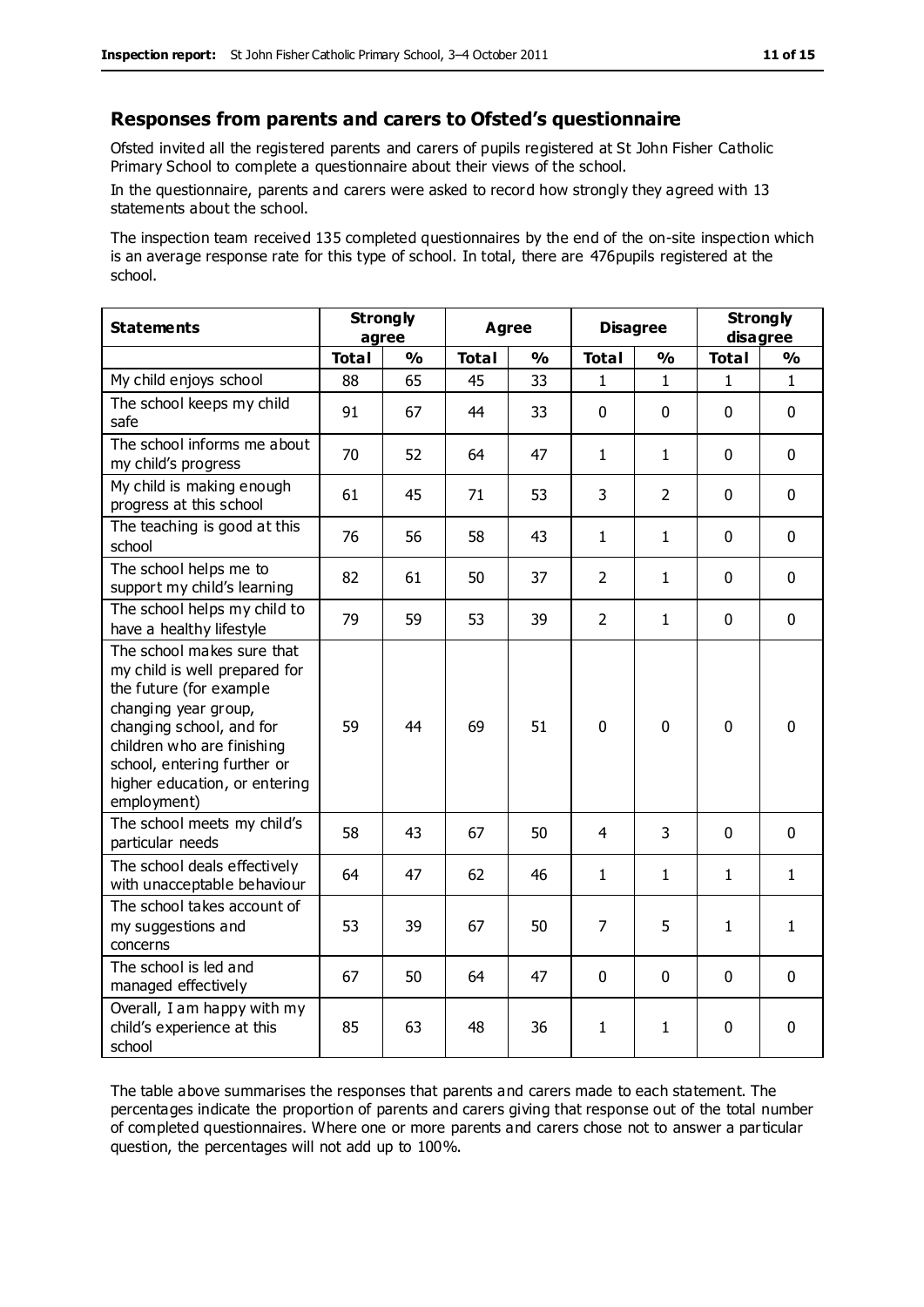#### **Responses from parents and carers to Ofsted's questionnaire**

Ofsted invited all the registered parents and carers of pupils registered at St John Fisher Catholic Primary School to complete a questionnaire about their views of the school.

In the questionnaire, parents and carers were asked to record how strongly they agreed with 13 statements about the school.

The inspection team received 135 completed questionnaires by the end of the on-site inspection which is an average response rate for this type of school. In total, there are 476pupils registered at the school.

| <b>Statements</b>                                                                                                                                                                                                                                       | <b>Strongly</b><br>agree |               | <b>Agree</b> |               | <b>Disagree</b> |                | <b>Strongly</b><br>disagree |              |
|---------------------------------------------------------------------------------------------------------------------------------------------------------------------------------------------------------------------------------------------------------|--------------------------|---------------|--------------|---------------|-----------------|----------------|-----------------------------|--------------|
|                                                                                                                                                                                                                                                         | <b>Total</b>             | $\frac{1}{2}$ | <b>Total</b> | $\frac{0}{0}$ | <b>Total</b>    | $\frac{0}{0}$  | <b>Total</b>                | %            |
| My child enjoys school                                                                                                                                                                                                                                  | 88                       | 65            | 45           | 33            | 1               | 1              | 1                           | $\mathbf{1}$ |
| The school keeps my child<br>safe                                                                                                                                                                                                                       | 91                       | 67            | 44           | 33            | $\mathbf{0}$    | 0              | $\mathbf{0}$                | 0            |
| The school informs me about<br>my child's progress                                                                                                                                                                                                      | 70                       | 52            | 64           | 47            | $\mathbf{1}$    | $\mathbf{1}$   | $\mathbf 0$                 | 0            |
| My child is making enough<br>progress at this school                                                                                                                                                                                                    | 61                       | 45            | 71           | 53            | $\overline{3}$  | $\overline{2}$ | $\mathbf 0$                 | 0            |
| The teaching is good at this<br>school                                                                                                                                                                                                                  | 76                       | 56            | 58           | 43            | $\mathbf{1}$    | $\mathbf{1}$   | $\mathbf 0$                 | 0            |
| The school helps me to<br>support my child's learning                                                                                                                                                                                                   | 82                       | 61            | 50           | 37            | $\overline{2}$  | 1              | $\mathbf 0$                 | 0            |
| The school helps my child to<br>have a healthy lifestyle                                                                                                                                                                                                | 79                       | 59            | 53           | 39            | $\overline{2}$  | $\mathbf{1}$   | $\Omega$                    | $\mathbf 0$  |
| The school makes sure that<br>my child is well prepared for<br>the future (for example<br>changing year group,<br>changing school, and for<br>children who are finishing<br>school, entering further or<br>higher education, or entering<br>employment) | 59                       | 44            | 69           | 51            | $\mathbf 0$     | $\mathbf 0$    | $\mathbf 0$                 | $\mathbf 0$  |
| The school meets my child's<br>particular needs                                                                                                                                                                                                         | 58                       | 43            | 67           | 50            | 4               | 3              | $\mathbf 0$                 | $\mathbf 0$  |
| The school deals effectively<br>with unacceptable behaviour                                                                                                                                                                                             | 64                       | 47            | 62           | 46            | 1               | $\mathbf{1}$   | 1                           | $\mathbf{1}$ |
| The school takes account of<br>my suggestions and<br>concerns                                                                                                                                                                                           | 53                       | 39            | 67           | 50            | $\overline{7}$  | 5              | $\mathbf{1}$                | $\mathbf{1}$ |
| The school is led and<br>managed effectively                                                                                                                                                                                                            | 67                       | 50            | 64           | 47            | $\mathbf 0$     | $\mathbf 0$    | $\mathbf 0$                 | 0            |
| Overall, I am happy with my<br>child's experience at this<br>school                                                                                                                                                                                     | 85                       | 63            | 48           | 36            | $\mathbf{1}$    | $\mathbf{1}$   | 0                           | 0            |

The table above summarises the responses that parents and carers made to each statement. The percentages indicate the proportion of parents and carers giving that response out of the total number of completed questionnaires. Where one or more parents and carers chose not to answer a particular question, the percentages will not add up to 100%.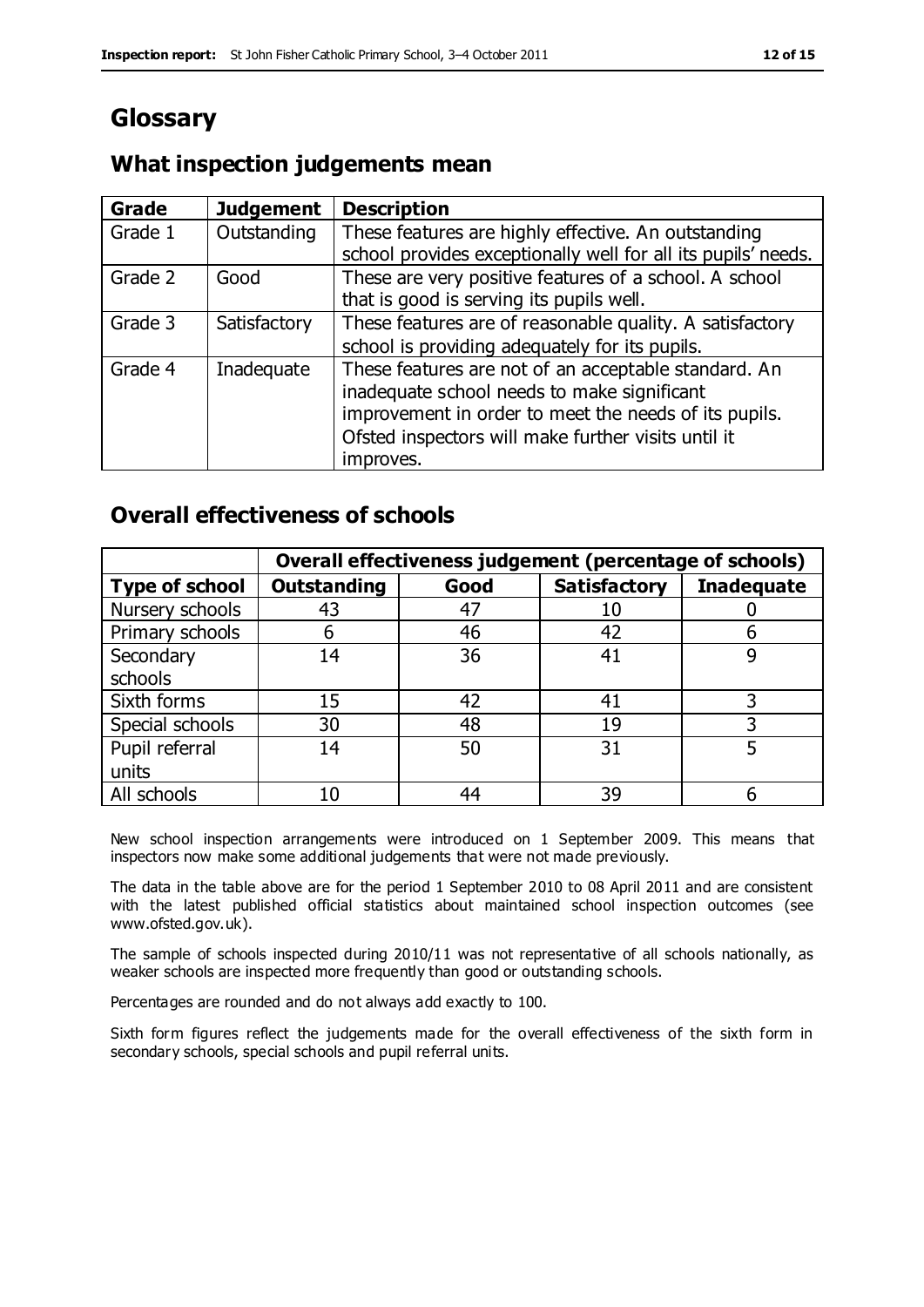## **Glossary**

### **What inspection judgements mean**

| <b>Grade</b> | <b>Judgement</b> | <b>Description</b>                                                                                                                                                                                                               |
|--------------|------------------|----------------------------------------------------------------------------------------------------------------------------------------------------------------------------------------------------------------------------------|
| Grade 1      | Outstanding      | These features are highly effective. An outstanding<br>school provides exceptionally well for all its pupils' needs.                                                                                                             |
| Grade 2      | Good             | These are very positive features of a school. A school<br>that is good is serving its pupils well.                                                                                                                               |
| Grade 3      | Satisfactory     | These features are of reasonable quality. A satisfactory<br>school is providing adequately for its pupils.                                                                                                                       |
| Grade 4      | Inadequate       | These features are not of an acceptable standard. An<br>inadequate school needs to make significant<br>improvement in order to meet the needs of its pupils.<br>Ofsted inspectors will make further visits until it<br>improves. |

### **Overall effectiveness of schools**

|                       |                    |      | Overall effectiveness judgement (percentage of schools) |                   |
|-----------------------|--------------------|------|---------------------------------------------------------|-------------------|
| <b>Type of school</b> | <b>Outstanding</b> | Good | <b>Satisfactory</b>                                     | <b>Inadequate</b> |
| Nursery schools       | 43                 | 47   | 10                                                      |                   |
| Primary schools       | 6                  | 46   | 42                                                      |                   |
| Secondary             | 14                 | 36   | 41                                                      |                   |
| schools               |                    |      |                                                         |                   |
| Sixth forms           | 15                 | 42   | 41                                                      | 3                 |
| Special schools       | 30                 | 48   | 19                                                      |                   |
| Pupil referral        | 14                 | 50   | 31                                                      |                   |
| units                 |                    |      |                                                         |                   |
| All schools           | 10                 | 44   | 39                                                      |                   |

New school inspection arrangements were introduced on 1 September 2009. This means that inspectors now make some additional judgements that were not made previously.

The data in the table above are for the period 1 September 2010 to 08 April 2011 and are consistent with the latest published official statistics about maintained school inspection outcomes (see www.ofsted.gov.uk).

The sample of schools inspected during 2010/11 was not representative of all schools nationally, as weaker schools are inspected more frequently than good or outstanding schools.

Percentages are rounded and do not always add exactly to 100.

Sixth form figures reflect the judgements made for the overall effectiveness of the sixth form in secondary schools, special schools and pupil referral units.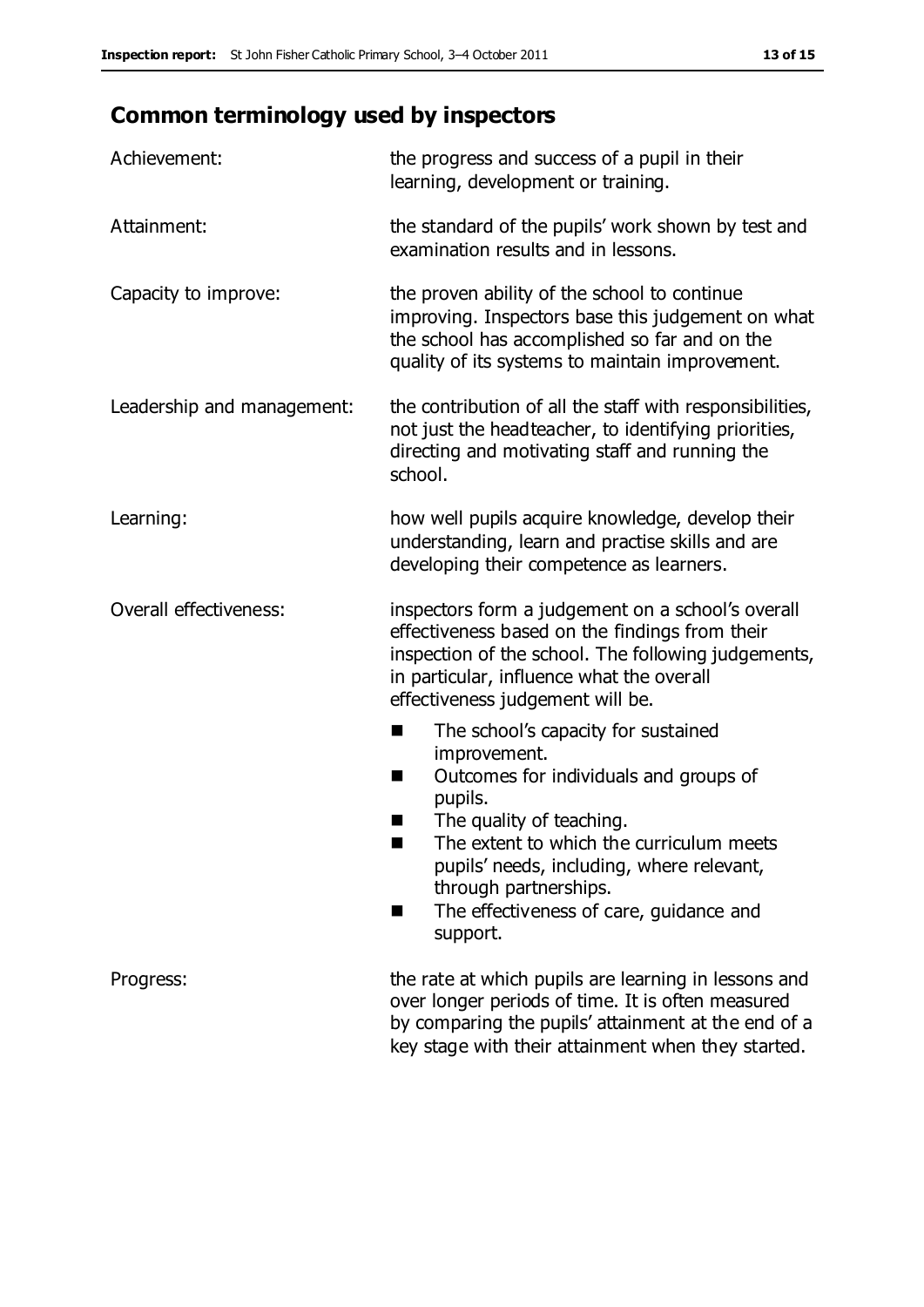## **Common terminology used by inspectors**

| Achievement:                  | the progress and success of a pupil in their<br>learning, development or training.                                                                                                                                                                                                                                           |
|-------------------------------|------------------------------------------------------------------------------------------------------------------------------------------------------------------------------------------------------------------------------------------------------------------------------------------------------------------------------|
| Attainment:                   | the standard of the pupils' work shown by test and<br>examination results and in lessons.                                                                                                                                                                                                                                    |
| Capacity to improve:          | the proven ability of the school to continue<br>improving. Inspectors base this judgement on what<br>the school has accomplished so far and on the<br>quality of its systems to maintain improvement.                                                                                                                        |
| Leadership and management:    | the contribution of all the staff with responsibilities,<br>not just the headteacher, to identifying priorities,<br>directing and motivating staff and running the<br>school.                                                                                                                                                |
| Learning:                     | how well pupils acquire knowledge, develop their<br>understanding, learn and practise skills and are<br>developing their competence as learners.                                                                                                                                                                             |
| <b>Overall effectiveness:</b> | inspectors form a judgement on a school's overall<br>effectiveness based on the findings from their<br>inspection of the school. The following judgements,<br>in particular, influence what the overall<br>effectiveness judgement will be.                                                                                  |
|                               | The school's capacity for sustained<br>×<br>improvement.<br>Outcomes for individuals and groups of<br>п<br>pupils.<br>The quality of teaching.<br>The extent to which the curriculum meets<br>pupils' needs, including, where relevant,<br>through partnerships.<br>The effectiveness of care, guidance and<br>■<br>support. |
| Progress:                     | the rate at which pupils are learning in lessons and<br>over longer periods of time. It is often measured<br>by comparing the pupils' attainment at the end of a<br>key stage with their attainment when they started.                                                                                                       |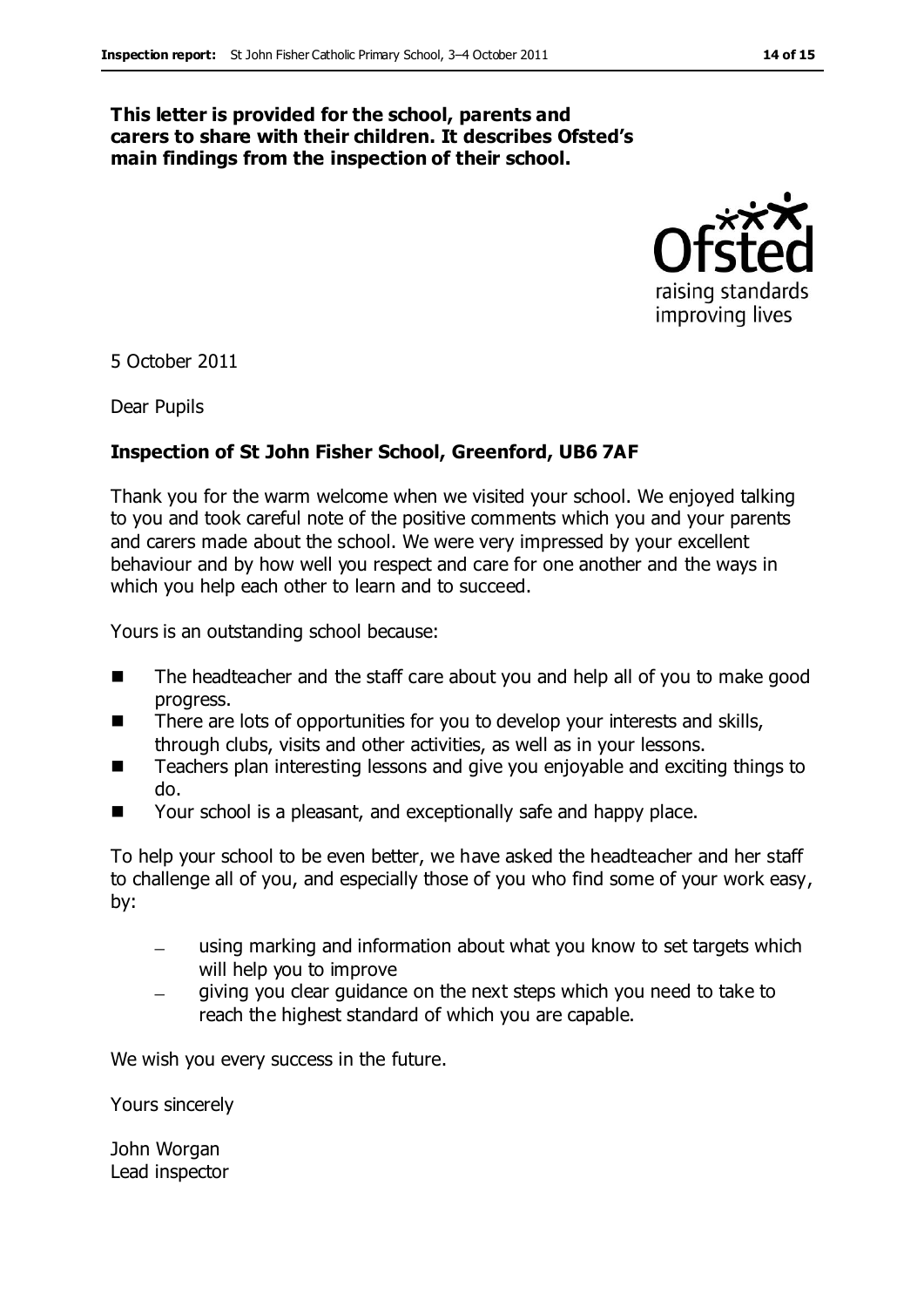#### **This letter is provided for the school, parents and carers to share with their children. It describes Ofsted's main findings from the inspection of their school.**



5 October 2011

Dear Pupils

#### **Inspection of St John Fisher School, Greenford, UB6 7AF**

Thank you for the warm welcome when we visited your school. We enjoyed talking to you and took careful note of the positive comments which you and your parents and carers made about the school. We were very impressed by your excellent behaviour and by how well you respect and care for one another and the ways in which you help each other to learn and to succeed.

Yours is an outstanding school because:

- The headteacher and the staff care about you and help all of you to make good progress.
- $\blacksquare$  There are lots of opportunities for you to develop your interests and skills, through clubs, visits and other activities, as well as in your lessons.
- Teachers plan interesting lessons and give you enjoyable and exciting things to do.
- Your school is a pleasant, and exceptionally safe and happy place.

To help your school to be even better, we have asked the headteacher and her staff to challenge all of you, and especially those of you who find some of your work easy, by:

- using marking and information about what you know to set targets which will help you to improve
- giving you clear guidance on the next steps which you need to take to reach the highest standard of which you are capable.

We wish you every success in the future.

Yours sincerely

John Worgan Lead inspector